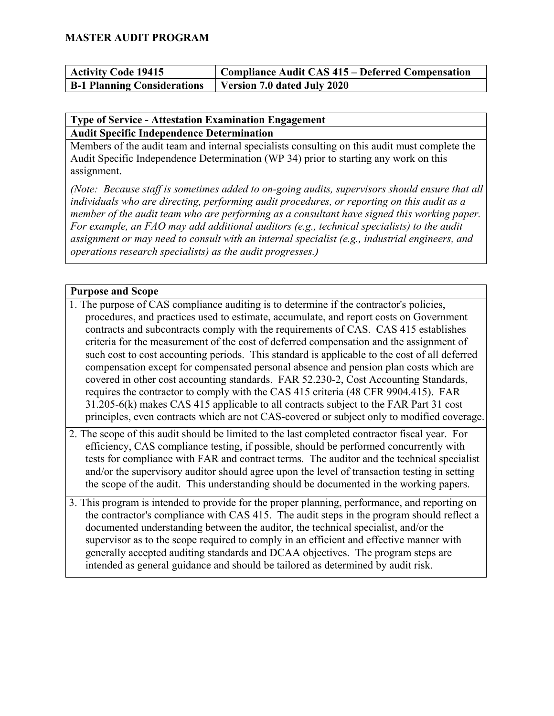| <b>Activity Code 19415</b>                                       | Compliance Audit CAS 415 – Deferred Compensation |
|------------------------------------------------------------------|--------------------------------------------------|
| <b>B-1 Planning Considerations</b>   Version 7.0 dated July 2020 |                                                  |

#### **Type of Service - Attestation Examination Engagement Audit Specific Independence Determination**

Members of the audit team and internal specialists consulting on this audit must complete the Audit Specific Independence Determination (WP 34) prior to starting any work on this assignment.

*(Note: Because staff is sometimes added to on-going audits, supervisors should ensure that all individuals who are directing, performing audit procedures, or reporting on this audit as a member of the audit team who are performing as a consultant have signed this working paper. For example, an FAO may add additional auditors (e.g., technical specialists) to the audit assignment or may need to consult with an internal specialist (e.g., industrial engineers, and operations research specialists) as the audit progresses.)*

#### **Purpose and Scope**

- 1. The purpose of CAS compliance auditing is to determine if the contractor's policies, procedures, and practices used to estimate, accumulate, and report costs on Government contracts and subcontracts comply with the requirements of CAS. CAS 415 establishes criteria for the measurement of the cost of deferred compensation and the assignment of such cost to cost accounting periods. This standard is applicable to the cost of all deferred compensation except for compensated personal absence and pension plan costs which are covered in other cost accounting standards. FAR 52.230-2, Cost Accounting Standards, requires the contractor to comply with the CAS 415 criteria (48 CFR 9904.415). FAR 31.205-6(k) makes CAS 415 applicable to all contracts subject to the FAR Part 31 cost principles, even contracts which are not CAS-covered or subject only to modified coverage.
- 2. The scope of this audit should be limited to the last completed contractor fiscal year. For efficiency, CAS compliance testing, if possible, should be performed concurrently with tests for compliance with FAR and contract terms. The auditor and the technical specialist and/or the supervisory auditor should agree upon the level of transaction testing in setting the scope of the audit. This understanding should be documented in the working papers.
- 3. This program is intended to provide for the proper planning, performance, and reporting on the contractor's compliance with CAS 415. The audit steps in the program should reflect a documented understanding between the auditor, the technical specialist, and/or the supervisor as to the scope required to comply in an efficient and effective manner with generally accepted auditing standards and DCAA objectives. The program steps are intended as general guidance and should be tailored as determined by audit risk.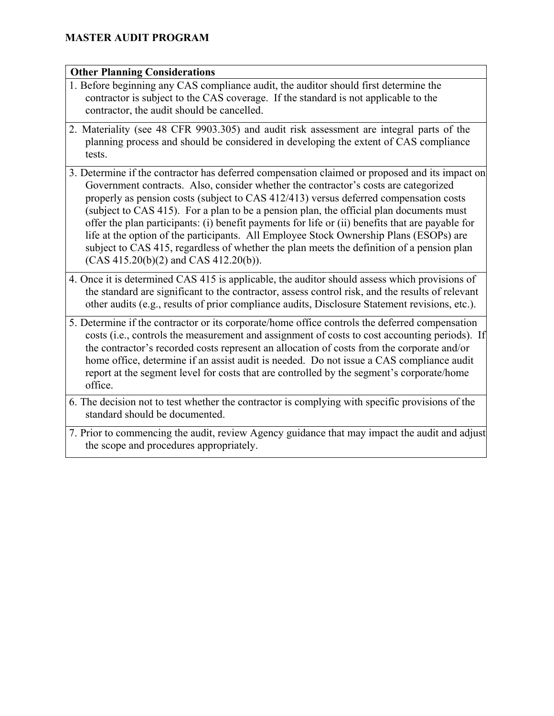#### **Other Planning Considerations**

- 1. Before beginning any CAS compliance audit, the auditor should first determine the contractor is subject to the CAS coverage. If the standard is not applicable to the contractor, the audit should be cancelled.
- 2. Materiality (see 48 CFR 9903.305) and audit risk assessment are integral parts of the planning process and should be considered in developing the extent of CAS compliance tests.
- 3. Determine if the contractor has deferred compensation claimed or proposed and its impact on Government contracts. Also, consider whether the contractor's costs are categorized properly as pension costs (subject to CAS 412/413) versus deferred compensation costs (subject to CAS 415). For a plan to be a pension plan, the official plan documents must offer the plan participants: (i) benefit payments for life or (ii) benefits that are payable for life at the option of the participants. All Employee Stock Ownership Plans (ESOPs) are subject to CAS 415, regardless of whether the plan meets the definition of a pension plan (CAS 415.20(b)(2) and CAS 412.20(b)).
- 4. Once it is determined CAS 415 is applicable, the auditor should assess which provisions of the standard are significant to the contractor, assess control risk, and the results of relevant other audits (e.g., results of prior compliance audits, Disclosure Statement revisions, etc.).
- 5. Determine if the contractor or its corporate/home office controls the deferred compensation costs (i.e., controls the measurement and assignment of costs to cost accounting periods). If the contractor's recorded costs represent an allocation of costs from the corporate and/or home office, determine if an assist audit is needed. Do not issue a CAS compliance audit report at the segment level for costs that are controlled by the segment's corporate/home office.
- 6. The decision not to test whether the contractor is complying with specific provisions of the standard should be documented.
- 7. Prior to commencing the audit, review Agency guidance that may impact the audit and adjust the scope and procedures appropriately.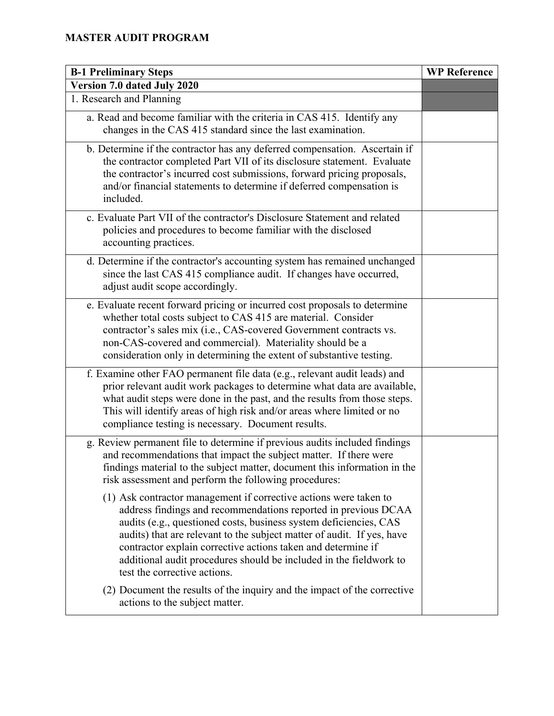| <b>B-1 Preliminary Steps</b>                                                                                                                                                                                                                                                                                                                                                                                                                             | <b>WP Reference</b> |
|----------------------------------------------------------------------------------------------------------------------------------------------------------------------------------------------------------------------------------------------------------------------------------------------------------------------------------------------------------------------------------------------------------------------------------------------------------|---------------------|
| Version 7.0 dated July 2020                                                                                                                                                                                                                                                                                                                                                                                                                              |                     |
| 1. Research and Planning                                                                                                                                                                                                                                                                                                                                                                                                                                 |                     |
| a. Read and become familiar with the criteria in CAS 415. Identify any<br>changes in the CAS 415 standard since the last examination.                                                                                                                                                                                                                                                                                                                    |                     |
| b. Determine if the contractor has any deferred compensation. Ascertain if<br>the contractor completed Part VII of its disclosure statement. Evaluate<br>the contractor's incurred cost submissions, forward pricing proposals,<br>and/or financial statements to determine if deferred compensation is<br>included.                                                                                                                                     |                     |
| c. Evaluate Part VII of the contractor's Disclosure Statement and related<br>policies and procedures to become familiar with the disclosed<br>accounting practices.                                                                                                                                                                                                                                                                                      |                     |
| d. Determine if the contractor's accounting system has remained unchanged<br>since the last CAS 415 compliance audit. If changes have occurred,<br>adjust audit scope accordingly.                                                                                                                                                                                                                                                                       |                     |
| e. Evaluate recent forward pricing or incurred cost proposals to determine<br>whether total costs subject to CAS 415 are material. Consider<br>contractor's sales mix (i.e., CAS-covered Government contracts vs.<br>non-CAS-covered and commercial). Materiality should be a<br>consideration only in determining the extent of substantive testing.                                                                                                    |                     |
| f. Examine other FAO permanent file data (e.g., relevant audit leads) and<br>prior relevant audit work packages to determine what data are available,<br>what audit steps were done in the past, and the results from those steps.<br>This will identify areas of high risk and/or areas where limited or no<br>compliance testing is necessary. Document results.                                                                                       |                     |
| g. Review permanent file to determine if previous audits included findings<br>and recommendations that impact the subject matter. If there were<br>findings material to the subject matter, document this information in the<br>risk assessment and perform the following procedures:                                                                                                                                                                    |                     |
| (1) Ask contractor management if corrective actions were taken to<br>address findings and recommendations reported in previous DCAA<br>audits (e.g., questioned costs, business system deficiencies, CAS<br>audits) that are relevant to the subject matter of audit. If yes, have<br>contractor explain corrective actions taken and determine if<br>additional audit procedures should be included in the fieldwork to<br>test the corrective actions. |                     |
| (2) Document the results of the inquiry and the impact of the corrective<br>actions to the subject matter.                                                                                                                                                                                                                                                                                                                                               |                     |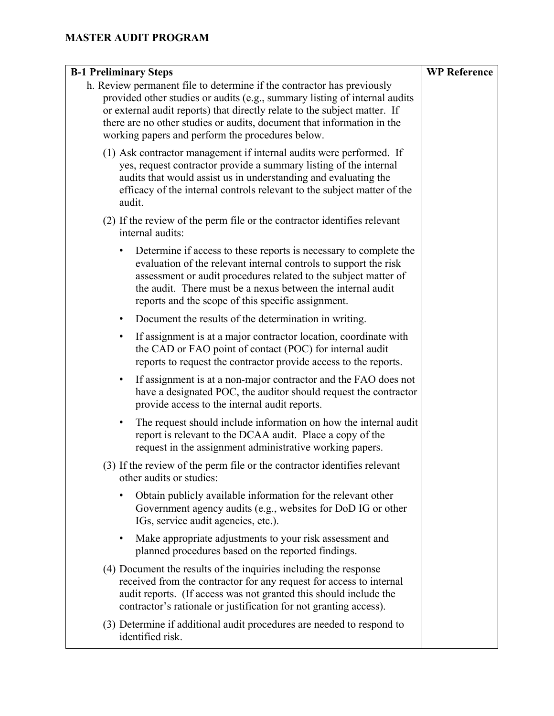| <b>B-1 Preliminary Steps</b>                                                                                                                                                                                                                                                                                                                                    | <b>WP Reference</b> |
|-----------------------------------------------------------------------------------------------------------------------------------------------------------------------------------------------------------------------------------------------------------------------------------------------------------------------------------------------------------------|---------------------|
| h. Review permanent file to determine if the contractor has previously<br>provided other studies or audits (e.g., summary listing of internal audits<br>or external audit reports) that directly relate to the subject matter. If<br>there are no other studies or audits, document that information in the<br>working papers and perform the procedures below. |                     |
| (1) Ask contractor management if internal audits were performed. If<br>yes, request contractor provide a summary listing of the internal<br>audits that would assist us in understanding and evaluating the<br>efficacy of the internal controls relevant to the subject matter of the<br>audit.                                                                |                     |
| (2) If the review of the perm file or the contractor identifies relevant<br>internal audits:                                                                                                                                                                                                                                                                    |                     |
| Determine if access to these reports is necessary to complete the<br>evaluation of the relevant internal controls to support the risk<br>assessment or audit procedures related to the subject matter of<br>the audit. There must be a nexus between the internal audit<br>reports and the scope of this specific assignment.                                   |                     |
| Document the results of the determination in writing.<br>$\bullet$                                                                                                                                                                                                                                                                                              |                     |
| If assignment is at a major contractor location, coordinate with<br>٠<br>the CAD or FAO point of contact (POC) for internal audit<br>reports to request the contractor provide access to the reports.                                                                                                                                                           |                     |
| If assignment is at a non-major contractor and the FAO does not<br>٠<br>have a designated POC, the auditor should request the contractor<br>provide access to the internal audit reports.                                                                                                                                                                       |                     |
| The request should include information on how the internal audit<br>٠<br>report is relevant to the DCAA audit. Place a copy of the<br>request in the assignment administrative working papers.                                                                                                                                                                  |                     |
| (3) If the review of the perm file or the contractor identifies relevant<br>other audits or studies:                                                                                                                                                                                                                                                            |                     |
| Obtain publicly available information for the relevant other<br>Government agency audits (e.g., websites for DoD IG or other<br>IGs, service audit agencies, etc.).                                                                                                                                                                                             |                     |
| Make appropriate adjustments to your risk assessment and<br>٠<br>planned procedures based on the reported findings.                                                                                                                                                                                                                                             |                     |
| (4) Document the results of the inquiries including the response<br>received from the contractor for any request for access to internal<br>audit reports. (If access was not granted this should include the<br>contractor's rationale or justification for not granting access).                                                                               |                     |
| (3) Determine if additional audit procedures are needed to respond to<br>identified risk.                                                                                                                                                                                                                                                                       |                     |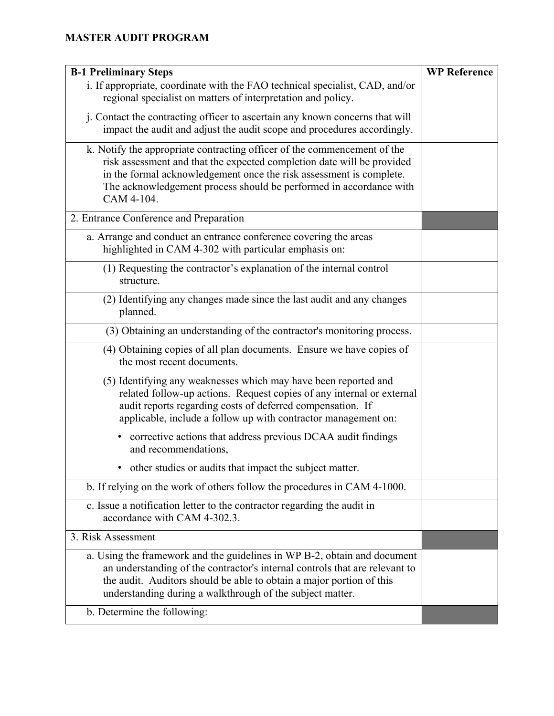| <b>B-1 Preliminary Steps</b>                                                                                                                                                                                                                                                                                  | <b>WP Reference</b> |
|---------------------------------------------------------------------------------------------------------------------------------------------------------------------------------------------------------------------------------------------------------------------------------------------------------------|---------------------|
| i. If appropriate, coordinate with the FAO technical specialist, CAD, and/or<br>regional specialist on matters of interpretation and policy.                                                                                                                                                                  |                     |
| j. Contact the contracting officer to ascertain any known concerns that will<br>impact the audit and adjust the audit scope and procedures accordingly.                                                                                                                                                       |                     |
| k. Notify the appropriate contracting officer of the commencement of the<br>risk assessment and that the expected completion date will be provided<br>in the formal acknowledgement once the risk assessment is complete.<br>The acknowledgement process should be performed in accordance with<br>CAM 4-104. |                     |
| 2. Entrance Conference and Preparation                                                                                                                                                                                                                                                                        |                     |
| a. Arrange and conduct an entrance conference covering the areas<br>highlighted in CAM 4-302 with particular emphasis on:                                                                                                                                                                                     |                     |
| (1) Requesting the contractor's explanation of the internal control<br>structure.                                                                                                                                                                                                                             |                     |
| (2) Identifying any changes made since the last audit and any changes<br>planned.                                                                                                                                                                                                                             |                     |
| (3) Obtaining an understanding of the contractor's monitoring process.                                                                                                                                                                                                                                        |                     |
| (4) Obtaining copies of all plan documents. Ensure we have copies of<br>the most recent documents.                                                                                                                                                                                                            |                     |
| (5) Identifying any weaknesses which may have been reported and<br>related follow-up actions. Request copies of any internal or external<br>audit reports regarding costs of deferred compensation. If<br>applicable, include a follow up with contractor management on:                                      |                     |
| corrective actions that address previous DCAA audit findings<br>and recommendations,                                                                                                                                                                                                                          |                     |
| • other studies or audits that impact the subject matter.                                                                                                                                                                                                                                                     |                     |
| b. If relying on the work of others follow the procedures in CAM 4-1000.                                                                                                                                                                                                                                      |                     |
| c. Issue a notification letter to the contractor regarding the audit in<br>accordance with CAM 4-302.3.                                                                                                                                                                                                       |                     |
| 3. Risk Assessment                                                                                                                                                                                                                                                                                            |                     |
| a. Using the framework and the guidelines in WP B-2, obtain and document<br>an understanding of the contractor's internal controls that are relevant to<br>the audit. Auditors should be able to obtain a major portion of this<br>understanding during a walkthrough of the subject matter.                  |                     |
| b. Determine the following:                                                                                                                                                                                                                                                                                   |                     |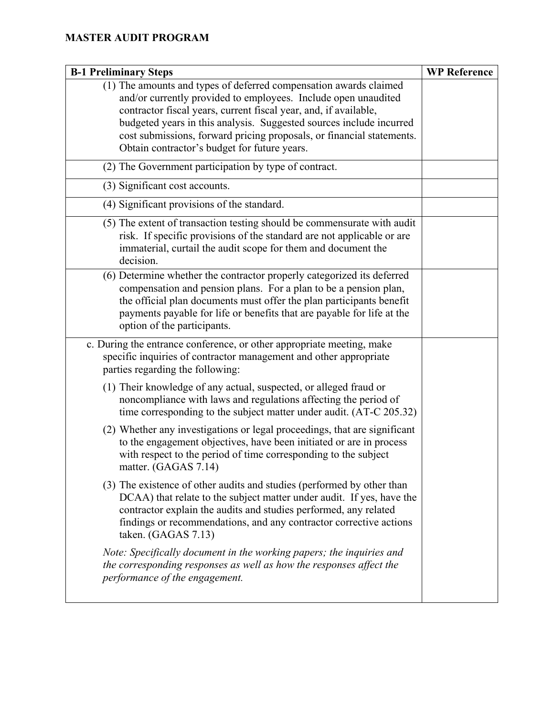| <b>B-1 Preliminary Steps</b>                                                                                                                                                                                                                                                                                                                                                                            | <b>WP Reference</b> |
|---------------------------------------------------------------------------------------------------------------------------------------------------------------------------------------------------------------------------------------------------------------------------------------------------------------------------------------------------------------------------------------------------------|---------------------|
| (1) The amounts and types of deferred compensation awards claimed<br>and/or currently provided to employees. Include open unaudited<br>contractor fiscal years, current fiscal year, and, if available,<br>budgeted years in this analysis. Suggested sources include incurred<br>cost submissions, forward pricing proposals, or financial statements.<br>Obtain contractor's budget for future years. |                     |
| (2) The Government participation by type of contract.                                                                                                                                                                                                                                                                                                                                                   |                     |
| (3) Significant cost accounts.                                                                                                                                                                                                                                                                                                                                                                          |                     |
| (4) Significant provisions of the standard.                                                                                                                                                                                                                                                                                                                                                             |                     |
| (5) The extent of transaction testing should be commensurate with audit<br>risk. If specific provisions of the standard are not applicable or are<br>immaterial, curtail the audit scope for them and document the<br>decision.                                                                                                                                                                         |                     |
| (6) Determine whether the contractor properly categorized its deferred<br>compensation and pension plans. For a plan to be a pension plan,<br>the official plan documents must offer the plan participants benefit<br>payments payable for life or benefits that are payable for life at the<br>option of the participants.                                                                             |                     |
| c. During the entrance conference, or other appropriate meeting, make<br>specific inquiries of contractor management and other appropriate<br>parties regarding the following:                                                                                                                                                                                                                          |                     |
| (1) Their knowledge of any actual, suspected, or alleged fraud or<br>noncompliance with laws and regulations affecting the period of<br>time corresponding to the subject matter under audit. (AT-C 205.32)                                                                                                                                                                                             |                     |
| (2) Whether any investigations or legal proceedings, that are significant<br>to the engagement objectives, have been initiated or are in process<br>with respect to the period of time corresponding to the subject<br>matter. (GAGAS 7.14)                                                                                                                                                             |                     |
| (3) The existence of other audits and studies (performed by other than<br>DCAA) that relate to the subject matter under audit. If yes, have the<br>contractor explain the audits and studies performed, any related<br>findings or recommendations, and any contractor corrective actions<br>taken. (GAGAS 7.13)                                                                                        |                     |
| Note: Specifically document in the working papers; the inquiries and<br>the corresponding responses as well as how the responses affect the<br>performance of the engagement.                                                                                                                                                                                                                           |                     |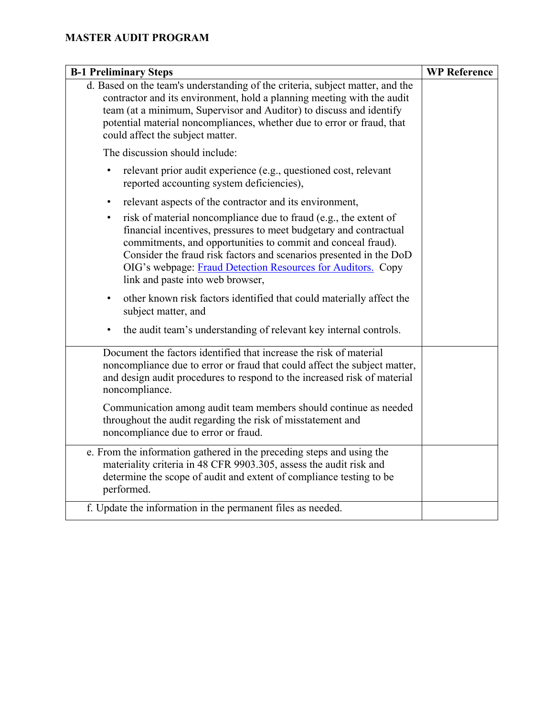| <b>B-1 Preliminary Steps</b>                                                                                                                                                                                                                                                                                                                                                                | <b>WP Reference</b> |
|---------------------------------------------------------------------------------------------------------------------------------------------------------------------------------------------------------------------------------------------------------------------------------------------------------------------------------------------------------------------------------------------|---------------------|
| d. Based on the team's understanding of the criteria, subject matter, and the<br>contractor and its environment, hold a planning meeting with the audit<br>team (at a minimum, Supervisor and Auditor) to discuss and identify<br>potential material noncompliances, whether due to error or fraud, that<br>could affect the subject matter.                                                |                     |
| The discussion should include:                                                                                                                                                                                                                                                                                                                                                              |                     |
| relevant prior audit experience (e.g., questioned cost, relevant<br>reported accounting system deficiencies),                                                                                                                                                                                                                                                                               |                     |
| relevant aspects of the contractor and its environment,<br>$\bullet$                                                                                                                                                                                                                                                                                                                        |                     |
| risk of material noncompliance due to fraud (e.g., the extent of<br>$\bullet$<br>financial incentives, pressures to meet budgetary and contractual<br>commitments, and opportunities to commit and conceal fraud).<br>Consider the fraud risk factors and scenarios presented in the DoD<br>OIG's webpage: Fraud Detection Resources for Auditors. Copy<br>link and paste into web browser, |                     |
| other known risk factors identified that could materially affect the<br>$\bullet$<br>subject matter, and                                                                                                                                                                                                                                                                                    |                     |
| the audit team's understanding of relevant key internal controls.                                                                                                                                                                                                                                                                                                                           |                     |
| Document the factors identified that increase the risk of material<br>noncompliance due to error or fraud that could affect the subject matter,<br>and design audit procedures to respond to the increased risk of material<br>noncompliance.                                                                                                                                               |                     |
| Communication among audit team members should continue as needed<br>throughout the audit regarding the risk of misstatement and<br>noncompliance due to error or fraud.                                                                                                                                                                                                                     |                     |
| e. From the information gathered in the preceding steps and using the<br>materiality criteria in 48 CFR 9903.305, assess the audit risk and<br>determine the scope of audit and extent of compliance testing to be<br>performed.                                                                                                                                                            |                     |
| f. Update the information in the permanent files as needed.                                                                                                                                                                                                                                                                                                                                 |                     |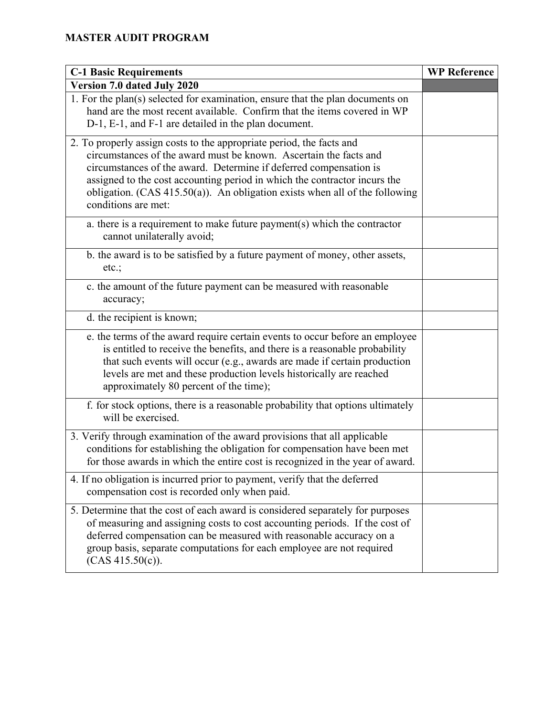| <b>C-1 Basic Requirements</b>                                                                                                                                                                                                                                                                                                                                                                        | <b>WP Reference</b> |
|------------------------------------------------------------------------------------------------------------------------------------------------------------------------------------------------------------------------------------------------------------------------------------------------------------------------------------------------------------------------------------------------------|---------------------|
| Version 7.0 dated July 2020                                                                                                                                                                                                                                                                                                                                                                          |                     |
| 1. For the plan(s) selected for examination, ensure that the plan documents on<br>hand are the most recent available. Confirm that the items covered in WP<br>D-1, E-1, and F-1 are detailed in the plan document.                                                                                                                                                                                   |                     |
| 2. To properly assign costs to the appropriate period, the facts and<br>circumstances of the award must be known. Ascertain the facts and<br>circumstances of the award. Determine if deferred compensation is<br>assigned to the cost accounting period in which the contractor incurs the<br>obligation. $(CAS 415.50(a))$ . An obligation exists when all of the following<br>conditions are met: |                     |
| a. there is a requirement to make future payment(s) which the contractor<br>cannot unilaterally avoid;                                                                                                                                                                                                                                                                                               |                     |
| b. the award is to be satisfied by a future payment of money, other assets,<br>etc.;                                                                                                                                                                                                                                                                                                                 |                     |
| c. the amount of the future payment can be measured with reasonable<br>accuracy;                                                                                                                                                                                                                                                                                                                     |                     |
| d. the recipient is known;                                                                                                                                                                                                                                                                                                                                                                           |                     |
| e. the terms of the award require certain events to occur before an employee<br>is entitled to receive the benefits, and there is a reasonable probability<br>that such events will occur (e.g., awards are made if certain production<br>levels are met and these production levels historically are reached<br>approximately 80 percent of the time);                                              |                     |
| f. for stock options, there is a reasonable probability that options ultimately<br>will be exercised.                                                                                                                                                                                                                                                                                                |                     |
| 3. Verify through examination of the award provisions that all applicable<br>conditions for establishing the obligation for compensation have been met<br>for those awards in which the entire cost is recognized in the year of award.                                                                                                                                                              |                     |
| 4. If no obligation is incurred prior to payment, verify that the deferred<br>compensation cost is recorded only when paid.                                                                                                                                                                                                                                                                          |                     |
| 5. Determine that the cost of each award is considered separately for purposes<br>of measuring and assigning costs to cost accounting periods. If the cost of<br>deferred compensation can be measured with reasonable accuracy on a<br>group basis, separate computations for each employee are not required<br>(CAS 415.50(c)).                                                                    |                     |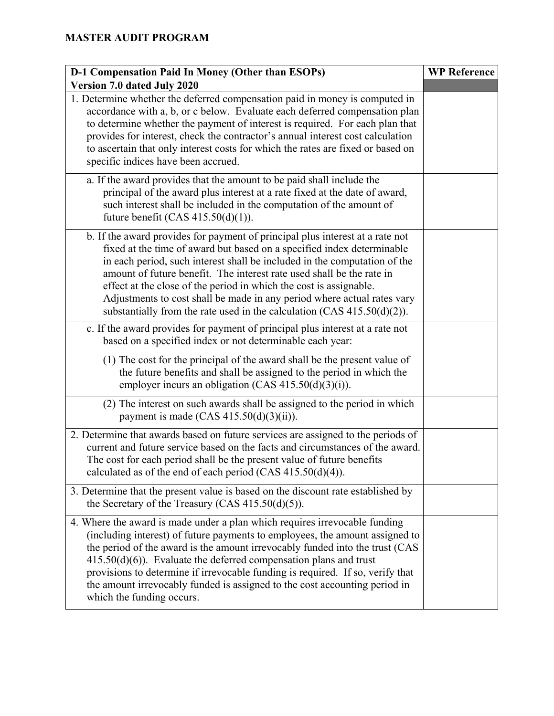| D-1 Compensation Paid In Money (Other than ESOPs)                                                                                                                                                                                                                                                                                                                                                                                                                                                                                            | <b>WP Reference</b> |
|----------------------------------------------------------------------------------------------------------------------------------------------------------------------------------------------------------------------------------------------------------------------------------------------------------------------------------------------------------------------------------------------------------------------------------------------------------------------------------------------------------------------------------------------|---------------------|
| Version 7.0 dated July 2020                                                                                                                                                                                                                                                                                                                                                                                                                                                                                                                  |                     |
| 1. Determine whether the deferred compensation paid in money is computed in<br>accordance with a, b, or c below. Evaluate each deferred compensation plan<br>to determine whether the payment of interest is required. For each plan that<br>provides for interest, check the contractor's annual interest cost calculation<br>to ascertain that only interest costs for which the rates are fixed or based on<br>specific indices have been accrued.                                                                                        |                     |
| a. If the award provides that the amount to be paid shall include the<br>principal of the award plus interest at a rate fixed at the date of award,<br>such interest shall be included in the computation of the amount of<br>future benefit (CAS $415.50(d)(1)$ ).                                                                                                                                                                                                                                                                          |                     |
| b. If the award provides for payment of principal plus interest at a rate not<br>fixed at the time of award but based on a specified index determinable<br>in each period, such interest shall be included in the computation of the<br>amount of future benefit. The interest rate used shall be the rate in<br>effect at the close of the period in which the cost is assignable.<br>Adjustments to cost shall be made in any period where actual rates vary<br>substantially from the rate used in the calculation (CAS $415.50(d)(2)$ ). |                     |
| c. If the award provides for payment of principal plus interest at a rate not<br>based on a specified index or not determinable each year:                                                                                                                                                                                                                                                                                                                                                                                                   |                     |
| (1) The cost for the principal of the award shall be the present value of<br>the future benefits and shall be assigned to the period in which the<br>employer incurs an obligation (CAS $415.50(d)(3)(i)$ ).                                                                                                                                                                                                                                                                                                                                 |                     |
| (2) The interest on such awards shall be assigned to the period in which<br>payment is made $(CAS 415.50(d)(3)(ii))$ .                                                                                                                                                                                                                                                                                                                                                                                                                       |                     |
| 2. Determine that awards based on future services are assigned to the periods of<br>current and future service based on the facts and circumstances of the award.<br>The cost for each period shall be the present value of future benefits<br>calculated as of the end of each period (CAS $415.50(d)(4)$ ).                                                                                                                                                                                                                                |                     |
| 3. Determine that the present value is based on the discount rate established by<br>the Secretary of the Treasury (CAS $415.50(d)(5)$ ).                                                                                                                                                                                                                                                                                                                                                                                                     |                     |
| 4. Where the award is made under a plan which requires irrevocable funding<br>(including interest) of future payments to employees, the amount assigned to<br>the period of the award is the amount irrevocably funded into the trust (CAS<br>$415.50(d)(6)$ ). Evaluate the deferred compensation plans and trust<br>provisions to determine if irrevocable funding is required. If so, verify that<br>the amount irrevocably funded is assigned to the cost accounting period in<br>which the funding occurs.                              |                     |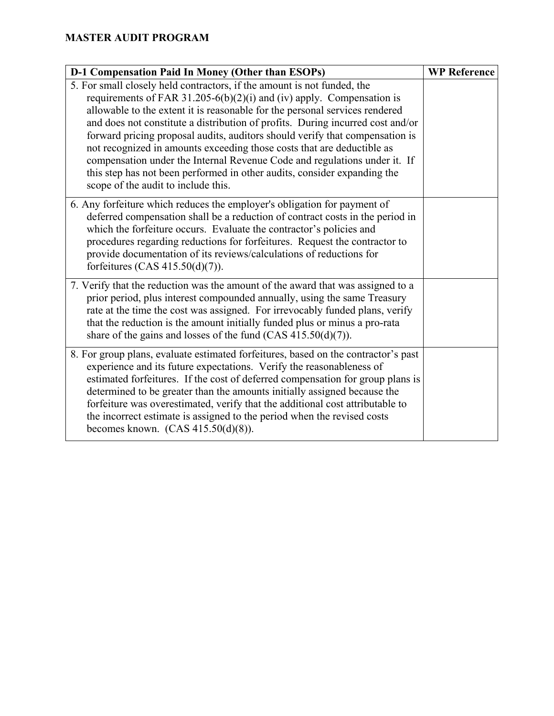| D-1 Compensation Paid In Money (Other than ESOPs)                                                                                                                                                                                                                                                                                                                                                                                                                                                                                                                                                                                                                           | <b>WP Reference</b> |
|-----------------------------------------------------------------------------------------------------------------------------------------------------------------------------------------------------------------------------------------------------------------------------------------------------------------------------------------------------------------------------------------------------------------------------------------------------------------------------------------------------------------------------------------------------------------------------------------------------------------------------------------------------------------------------|---------------------|
| 5. For small closely held contractors, if the amount is not funded, the<br>requirements of FAR 31.205-6(b)(2)(i) and (iv) apply. Compensation is<br>allowable to the extent it is reasonable for the personal services rendered<br>and does not constitute a distribution of profits. During incurred cost and/or<br>forward pricing proposal audits, auditors should verify that compensation is<br>not recognized in amounts exceeding those costs that are deductible as<br>compensation under the Internal Revenue Code and regulations under it. If<br>this step has not been performed in other audits, consider expanding the<br>scope of the audit to include this. |                     |
| 6. Any forfeiture which reduces the employer's obligation for payment of<br>deferred compensation shall be a reduction of contract costs in the period in<br>which the forfeiture occurs. Evaluate the contractor's policies and<br>procedures regarding reductions for forfeitures. Request the contractor to<br>provide documentation of its reviews/calculations of reductions for<br>forfeitures (CAS $415.50(d)(7)$ ).                                                                                                                                                                                                                                                 |                     |
| 7. Verify that the reduction was the amount of the award that was assigned to a<br>prior period, plus interest compounded annually, using the same Treasury<br>rate at the time the cost was assigned. For irrevocably funded plans, verify<br>that the reduction is the amount initially funded plus or minus a pro-rata<br>share of the gains and losses of the fund $(CAS 415.50(d)(7))$ .                                                                                                                                                                                                                                                                               |                     |
| 8. For group plans, evaluate estimated forfeitures, based on the contractor's past<br>experience and its future expectations. Verify the reasonableness of<br>estimated forfeitures. If the cost of deferred compensation for group plans is<br>determined to be greater than the amounts initially assigned because the<br>forfeiture was overestimated, verify that the additional cost attributable to<br>the incorrect estimate is assigned to the period when the revised costs<br>becomes known. $(CAS 415.50(d)(8))$ .                                                                                                                                               |                     |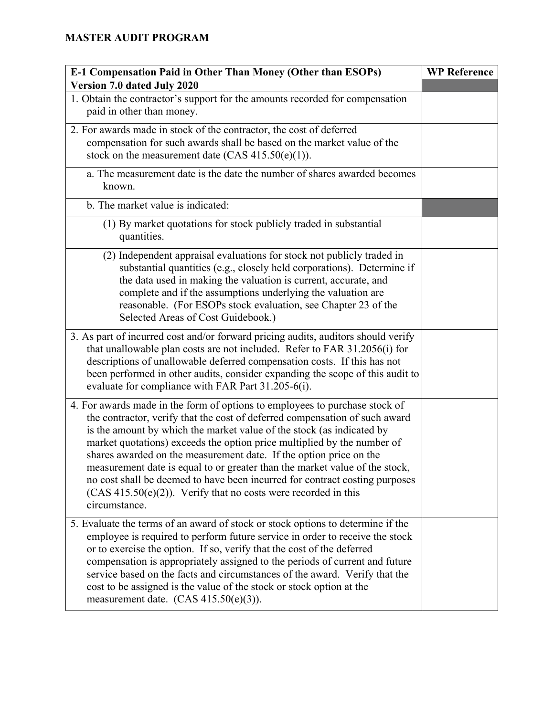| E-1 Compensation Paid in Other Than Money (Other than ESOPs)                                                                                                                                                                                                                                                                                                                                                                                                                                                                                                                                                                             | <b>WP Reference</b> |
|------------------------------------------------------------------------------------------------------------------------------------------------------------------------------------------------------------------------------------------------------------------------------------------------------------------------------------------------------------------------------------------------------------------------------------------------------------------------------------------------------------------------------------------------------------------------------------------------------------------------------------------|---------------------|
| Version 7.0 dated July 2020                                                                                                                                                                                                                                                                                                                                                                                                                                                                                                                                                                                                              |                     |
| 1. Obtain the contractor's support for the amounts recorded for compensation<br>paid in other than money.                                                                                                                                                                                                                                                                                                                                                                                                                                                                                                                                |                     |
| 2. For awards made in stock of the contractor, the cost of deferred<br>compensation for such awards shall be based on the market value of the<br>stock on the measurement date (CAS $415.50(e)(1)$ ).                                                                                                                                                                                                                                                                                                                                                                                                                                    |                     |
| a. The measurement date is the date the number of shares awarded becomes<br>known.                                                                                                                                                                                                                                                                                                                                                                                                                                                                                                                                                       |                     |
| b. The market value is indicated:                                                                                                                                                                                                                                                                                                                                                                                                                                                                                                                                                                                                        |                     |
| (1) By market quotations for stock publicly traded in substantial<br>quantities.                                                                                                                                                                                                                                                                                                                                                                                                                                                                                                                                                         |                     |
| (2) Independent appraisal evaluations for stock not publicly traded in<br>substantial quantities (e.g., closely held corporations). Determine if<br>the data used in making the valuation is current, accurate, and<br>complete and if the assumptions underlying the valuation are<br>reasonable. (For ESOPs stock evaluation, see Chapter 23 of the<br>Selected Areas of Cost Guidebook.)                                                                                                                                                                                                                                              |                     |
| 3. As part of incurred cost and/or forward pricing audits, auditors should verify<br>that unallowable plan costs are not included. Refer to FAR 31.2056(i) for<br>descriptions of unallowable deferred compensation costs. If this has not<br>been performed in other audits, consider expanding the scope of this audit to<br>evaluate for compliance with FAR Part 31.205-6(i).                                                                                                                                                                                                                                                        |                     |
| 4. For awards made in the form of options to employees to purchase stock of<br>the contractor, verify that the cost of deferred compensation of such award<br>is the amount by which the market value of the stock (as indicated by<br>market quotations) exceeds the option price multiplied by the number of<br>shares awarded on the measurement date. If the option price on the<br>measurement date is equal to or greater than the market value of the stock,<br>no cost shall be deemed to have been incurred for contract costing purposes<br>$(CAS 415.50(e)(2))$ . Verify that no costs were recorded in this<br>circumstance. |                     |
| 5. Evaluate the terms of an award of stock or stock options to determine if the<br>employee is required to perform future service in order to receive the stock<br>or to exercise the option. If so, verify that the cost of the deferred<br>compensation is appropriately assigned to the periods of current and future<br>service based on the facts and circumstances of the award. Verify that the<br>cost to be assigned is the value of the stock or stock option at the<br>measurement date. $(CAS 415.50(e)(3))$ .                                                                                                               |                     |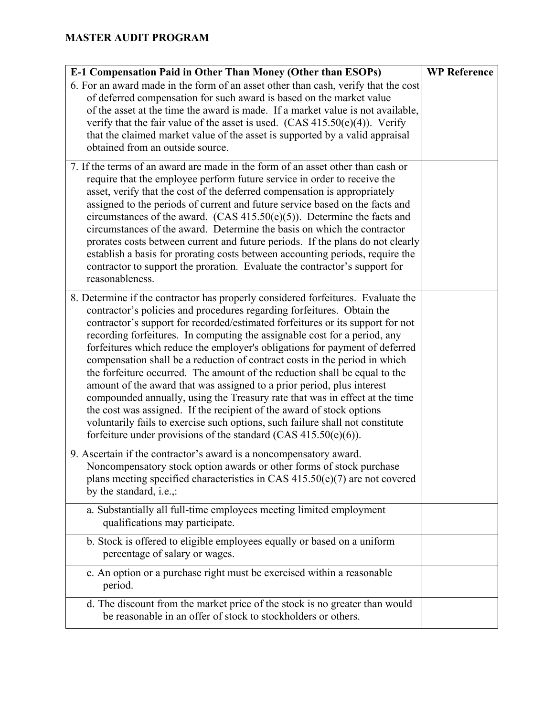| E-1 Compensation Paid in Other Than Money (Other than ESOPs)                                                                                                                                                                                                                                                                                                                                                                                                                                                                                                                                                                                                                                                                                                                                                                                                                                                                                                  | <b>WP Reference</b> |
|---------------------------------------------------------------------------------------------------------------------------------------------------------------------------------------------------------------------------------------------------------------------------------------------------------------------------------------------------------------------------------------------------------------------------------------------------------------------------------------------------------------------------------------------------------------------------------------------------------------------------------------------------------------------------------------------------------------------------------------------------------------------------------------------------------------------------------------------------------------------------------------------------------------------------------------------------------------|---------------------|
| 6. For an award made in the form of an asset other than cash, verify that the cost<br>of deferred compensation for such award is based on the market value<br>of the asset at the time the award is made. If a market value is not available,<br>verify that the fair value of the asset is used. $(CAS 415.50(e)(4))$ . Verify<br>that the claimed market value of the asset is supported by a valid appraisal<br>obtained from an outside source.                                                                                                                                                                                                                                                                                                                                                                                                                                                                                                           |                     |
| 7. If the terms of an award are made in the form of an asset other than cash or<br>require that the employee perform future service in order to receive the<br>asset, verify that the cost of the deferred compensation is appropriately<br>assigned to the periods of current and future service based on the facts and<br>circumstances of the award. $(CAS 415.50(e)(5))$ . Determine the facts and<br>circumstances of the award. Determine the basis on which the contractor<br>prorates costs between current and future periods. If the plans do not clearly<br>establish a basis for prorating costs between accounting periods, require the<br>contractor to support the proration. Evaluate the contractor's support for<br>reasonableness.                                                                                                                                                                                                         |                     |
| 8. Determine if the contractor has properly considered forfeitures. Evaluate the<br>contractor's policies and procedures regarding forfeitures. Obtain the<br>contractor's support for recorded/estimated forfeitures or its support for not<br>recording forfeitures. In computing the assignable cost for a period, any<br>forfeitures which reduce the employer's obligations for payment of deferred<br>compensation shall be a reduction of contract costs in the period in which<br>the forfeiture occurred. The amount of the reduction shall be equal to the<br>amount of the award that was assigned to a prior period, plus interest<br>compounded annually, using the Treasury rate that was in effect at the time<br>the cost was assigned. If the recipient of the award of stock options<br>voluntarily fails to exercise such options, such failure shall not constitute<br>forfeiture under provisions of the standard (CAS $415.50(e)(6)$ ). |                     |
| 9. Ascertain if the contractor's award is a noncompensatory award.<br>Noncompensatory stock option awards or other forms of stock purchase<br>plans meeting specified characteristics in CAS $415.50(e)(7)$ are not covered<br>by the standard, i.e.,:                                                                                                                                                                                                                                                                                                                                                                                                                                                                                                                                                                                                                                                                                                        |                     |
| a. Substantially all full-time employees meeting limited employment<br>qualifications may participate.                                                                                                                                                                                                                                                                                                                                                                                                                                                                                                                                                                                                                                                                                                                                                                                                                                                        |                     |
| b. Stock is offered to eligible employees equally or based on a uniform<br>percentage of salary or wages.                                                                                                                                                                                                                                                                                                                                                                                                                                                                                                                                                                                                                                                                                                                                                                                                                                                     |                     |
| c. An option or a purchase right must be exercised within a reasonable<br>period.                                                                                                                                                                                                                                                                                                                                                                                                                                                                                                                                                                                                                                                                                                                                                                                                                                                                             |                     |
| d. The discount from the market price of the stock is no greater than would<br>be reasonable in an offer of stock to stockholders or others.                                                                                                                                                                                                                                                                                                                                                                                                                                                                                                                                                                                                                                                                                                                                                                                                                  |                     |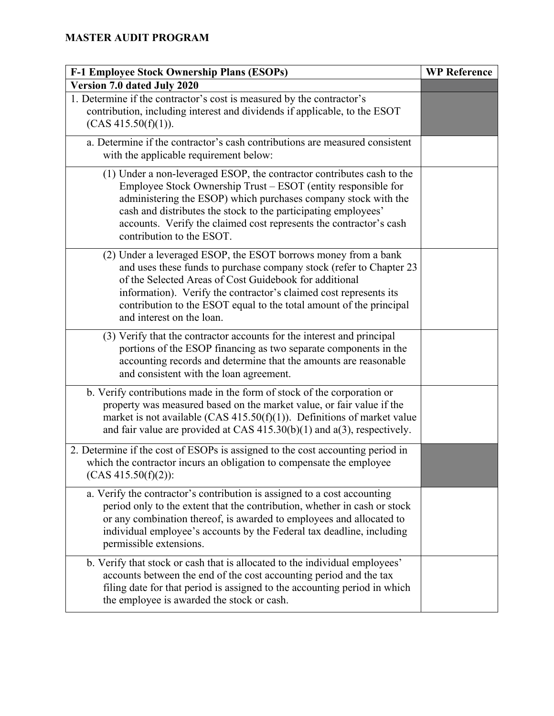| F-1 Employee Stock Ownership Plans (ESOPs)                                                                                                                                                                                                                                                                                                                                     | <b>WP Reference</b> |
|--------------------------------------------------------------------------------------------------------------------------------------------------------------------------------------------------------------------------------------------------------------------------------------------------------------------------------------------------------------------------------|---------------------|
| Version 7.0 dated July 2020                                                                                                                                                                                                                                                                                                                                                    |                     |
| 1. Determine if the contractor's cost is measured by the contractor's<br>contribution, including interest and dividends if applicable, to the ESOT<br>(CAS 415.50(f)(1)).                                                                                                                                                                                                      |                     |
| a. Determine if the contractor's cash contributions are measured consistent<br>with the applicable requirement below:                                                                                                                                                                                                                                                          |                     |
| (1) Under a non-leveraged ESOP, the contractor contributes cash to the<br>Employee Stock Ownership Trust – ESOT (entity responsible for<br>administering the ESOP) which purchases company stock with the<br>cash and distributes the stock to the participating employees'<br>accounts. Verify the claimed cost represents the contractor's cash<br>contribution to the ESOT. |                     |
| (2) Under a leveraged ESOP, the ESOT borrows money from a bank<br>and uses these funds to purchase company stock (refer to Chapter 23<br>of the Selected Areas of Cost Guidebook for additional<br>information). Verify the contractor's claimed cost represents its<br>contribution to the ESOT equal to the total amount of the principal<br>and interest on the loan.       |                     |
| (3) Verify that the contractor accounts for the interest and principal<br>portions of the ESOP financing as two separate components in the<br>accounting records and determine that the amounts are reasonable<br>and consistent with the loan agreement.                                                                                                                      |                     |
| b. Verify contributions made in the form of stock of the corporation or<br>property was measured based on the market value, or fair value if the<br>market is not available (CAS $415.50(f)(1)$ ). Definitions of market value<br>and fair value are provided at CAS $415.30(b)(1)$ and $a(3)$ , respectively.                                                                 |                     |
| 2. Determine if the cost of ESOPs is assigned to the cost accounting period in<br>which the contractor incurs an obligation to compensate the employee<br>$(CAS 415.50(f)(2))$ :                                                                                                                                                                                               |                     |
| a. Verify the contractor's contribution is assigned to a cost accounting<br>period only to the extent that the contribution, whether in cash or stock<br>or any combination thereof, is awarded to employees and allocated to<br>individual employee's accounts by the Federal tax deadline, including<br>permissible extensions.                                              |                     |
| b. Verify that stock or cash that is allocated to the individual employees'<br>accounts between the end of the cost accounting period and the tax<br>filing date for that period is assigned to the accounting period in which<br>the employee is awarded the stock or cash.                                                                                                   |                     |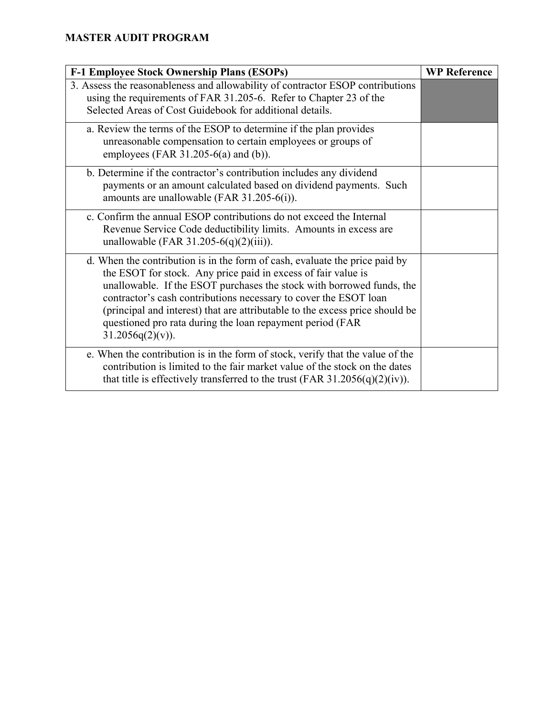| F-1 Employee Stock Ownership Plans (ESOPs)                                                                                                                                                                                                                                                                                                                                                                                                                    | <b>WP Reference</b> |
|---------------------------------------------------------------------------------------------------------------------------------------------------------------------------------------------------------------------------------------------------------------------------------------------------------------------------------------------------------------------------------------------------------------------------------------------------------------|---------------------|
| 3. Assess the reasonableness and allowability of contractor ESOP contributions<br>using the requirements of FAR 31.205-6. Refer to Chapter 23 of the<br>Selected Areas of Cost Guidebook for additional details.                                                                                                                                                                                                                                              |                     |
| a. Review the terms of the ESOP to determine if the plan provides<br>unreasonable compensation to certain employees or groups of<br>employees (FAR $31.205-6(a)$ and (b)).                                                                                                                                                                                                                                                                                    |                     |
| b. Determine if the contractor's contribution includes any dividend<br>payments or an amount calculated based on dividend payments. Such<br>amounts are unallowable (FAR 31.205-6(i)).                                                                                                                                                                                                                                                                        |                     |
| c. Confirm the annual ESOP contributions do not exceed the Internal<br>Revenue Service Code deductibility limits. Amounts in excess are<br>unallowable (FAR 31.205-6(q)(2)(iii)).                                                                                                                                                                                                                                                                             |                     |
| d. When the contribution is in the form of cash, evaluate the price paid by<br>the ESOT for stock. Any price paid in excess of fair value is<br>unallowable. If the ESOT purchases the stock with borrowed funds, the<br>contractor's cash contributions necessary to cover the ESOT loan<br>(principal and interest) that are attributable to the excess price should be<br>questioned pro rata during the loan repayment period (FAR<br>$31.2056q(2)(v)$ ). |                     |
| e. When the contribution is in the form of stock, verify that the value of the<br>contribution is limited to the fair market value of the stock on the dates<br>that title is effectively transferred to the trust (FAR 31.2056(q)(2)(iv)).                                                                                                                                                                                                                   |                     |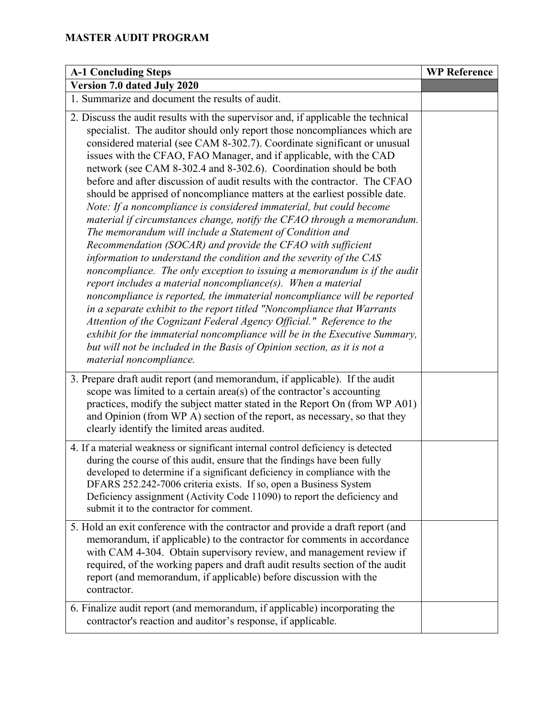| <b>A-1 Concluding Steps</b>                                                                                                                                                                                                                                                                                                                                                                                                                                                                                                                                                                                                                                                                                                                                                                                                                                                                                                                                                                                                                                                                                                                                                                                                                                                                                                                                                                                                                                                  | <b>WP Reference</b> |
|------------------------------------------------------------------------------------------------------------------------------------------------------------------------------------------------------------------------------------------------------------------------------------------------------------------------------------------------------------------------------------------------------------------------------------------------------------------------------------------------------------------------------------------------------------------------------------------------------------------------------------------------------------------------------------------------------------------------------------------------------------------------------------------------------------------------------------------------------------------------------------------------------------------------------------------------------------------------------------------------------------------------------------------------------------------------------------------------------------------------------------------------------------------------------------------------------------------------------------------------------------------------------------------------------------------------------------------------------------------------------------------------------------------------------------------------------------------------------|---------------------|
| Version 7.0 dated July 2020                                                                                                                                                                                                                                                                                                                                                                                                                                                                                                                                                                                                                                                                                                                                                                                                                                                                                                                                                                                                                                                                                                                                                                                                                                                                                                                                                                                                                                                  |                     |
| 1. Summarize and document the results of audit.                                                                                                                                                                                                                                                                                                                                                                                                                                                                                                                                                                                                                                                                                                                                                                                                                                                                                                                                                                                                                                                                                                                                                                                                                                                                                                                                                                                                                              |                     |
| 2. Discuss the audit results with the supervisor and, if applicable the technical<br>specialist. The auditor should only report those noncompliances which are<br>considered material (see CAM 8-302.7). Coordinate significant or unusual<br>issues with the CFAO, FAO Manager, and if applicable, with the CAD<br>network (see CAM 8-302.4 and 8-302.6). Coordination should be both<br>before and after discussion of audit results with the contractor. The CFAO<br>should be apprised of noncompliance matters at the earliest possible date.<br>Note: If a noncompliance is considered immaterial, but could become<br>material if circumstances change, notify the CFAO through a memorandum.<br>The memorandum will include a Statement of Condition and<br>Recommendation (SOCAR) and provide the CFAO with sufficient<br>information to understand the condition and the severity of the CAS<br>noncompliance. The only exception to issuing a memorandum is if the audit<br>report includes a material noncompliance $(s)$ . When a material<br>noncompliance is reported, the immaterial noncompliance will be reported<br>in a separate exhibit to the report titled "Noncompliance that Warrants<br>Attention of the Cognizant Federal Agency Official." Reference to the<br>exhibit for the immaterial noncompliance will be in the Executive Summary,<br>but will not be included in the Basis of Opinion section, as it is not a<br>material noncompliance. |                     |
| 3. Prepare draft audit report (and memorandum, if applicable). If the audit<br>scope was limited to a certain $area(s)$ of the contractor's accounting<br>practices, modify the subject matter stated in the Report On (from WP A01)<br>and Opinion (from WP A) section of the report, as necessary, so that they<br>clearly identify the limited areas audited.                                                                                                                                                                                                                                                                                                                                                                                                                                                                                                                                                                                                                                                                                                                                                                                                                                                                                                                                                                                                                                                                                                             |                     |
| 4. If a material weakness or significant internal control deficiency is detected<br>during the course of this audit, ensure that the findings have been fully<br>developed to determine if a significant deficiency in compliance with the<br>DFARS 252.242-7006 criteria exists. If so, open a Business System<br>Deficiency assignment (Activity Code 11090) to report the deficiency and<br>submit it to the contractor for comment.                                                                                                                                                                                                                                                                                                                                                                                                                                                                                                                                                                                                                                                                                                                                                                                                                                                                                                                                                                                                                                      |                     |
| 5. Hold an exit conference with the contractor and provide a draft report (and<br>memorandum, if applicable) to the contractor for comments in accordance<br>with CAM 4-304. Obtain supervisory review, and management review if<br>required, of the working papers and draft audit results section of the audit<br>report (and memorandum, if applicable) before discussion with the<br>contractor.                                                                                                                                                                                                                                                                                                                                                                                                                                                                                                                                                                                                                                                                                                                                                                                                                                                                                                                                                                                                                                                                         |                     |
| 6. Finalize audit report (and memorandum, if applicable) incorporating the<br>contractor's reaction and auditor's response, if applicable.                                                                                                                                                                                                                                                                                                                                                                                                                                                                                                                                                                                                                                                                                                                                                                                                                                                                                                                                                                                                                                                                                                                                                                                                                                                                                                                                   |                     |